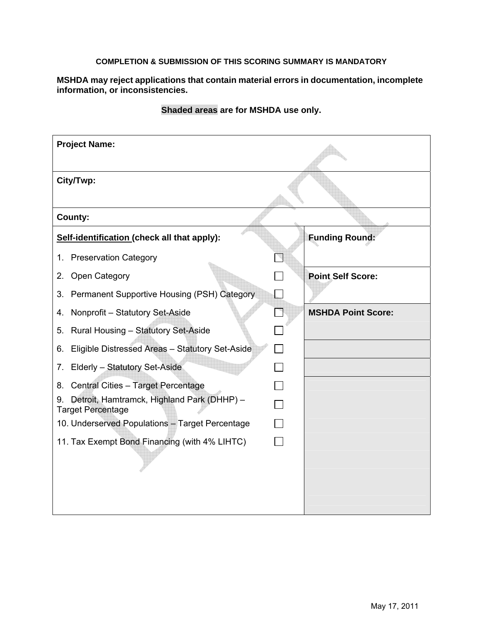## **COMPLETION & SUBMISSION OF THIS SCORING SUMMARY IS MANDATORY**

**MSHDA may reject applications that contain material errors in documentation, incomplete information, or inconsistencies.** 

| <b>Project Name:</b>                                                         |                           |
|------------------------------------------------------------------------------|---------------------------|
| City/Twp:                                                                    |                           |
| County:                                                                      |                           |
| Self-identification (check all that apply):                                  | <b>Funding Round:</b>     |
| 1. Preservation Category                                                     |                           |
| Open Category<br>2.                                                          | <b>Point Self Score:</b>  |
| Permanent Supportive Housing (PSH) Category<br>3.                            | $\Box$                    |
| Nonprofit - Statutory Set-Aside<br>4.                                        | <b>MSHDA Point Score:</b> |
| Rural Housing - Statutory Set-Aside<br>5.                                    |                           |
| Eligible Distressed Areas - Statutory Set-Aside<br>6.                        |                           |
| Elderly - Statutory Set-Aside<br>7.                                          |                           |
| Central Cities - Target Percentage<br>8.                                     |                           |
| Detroit, Hamtramck, Highland Park (DHHP) -<br>9.<br><b>Target Percentage</b> |                           |
| 10. Underserved Populations - Target Percentage                              |                           |
| 11. Tax Exempt Bond Financing (with 4% LIHTC)                                |                           |
|                                                                              |                           |

## **Shaded areas are for MSHDA use only.**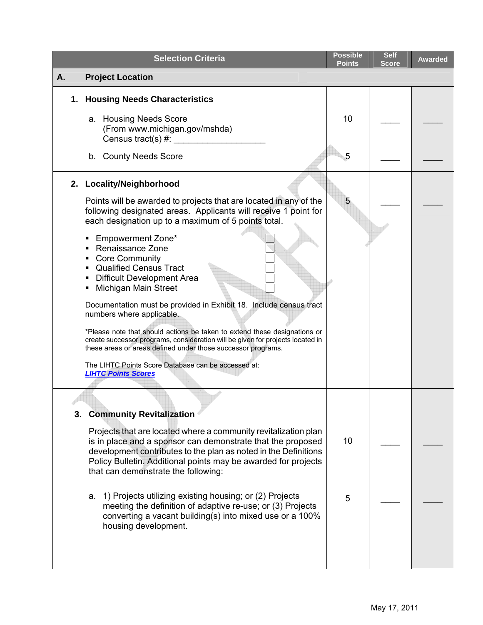| <b>Selection Criteria</b>                                                                                                                                                                                                                                                                                  | <b>Possible</b><br><b>Points</b> | <b>Self</b><br>Score | <b>Awarded</b> |
|------------------------------------------------------------------------------------------------------------------------------------------------------------------------------------------------------------------------------------------------------------------------------------------------------------|----------------------------------|----------------------|----------------|
| <b>Project Location</b><br>А.                                                                                                                                                                                                                                                                              |                                  |                      |                |
| 1. Housing Needs Characteristics<br>a. Housing Needs Score                                                                                                                                                                                                                                                 | 10                               |                      |                |
| (From www.michigan.gov/mshda)<br>Census tract(s) $#$ :                                                                                                                                                                                                                                                     |                                  |                      |                |
| b. County Needs Score                                                                                                                                                                                                                                                                                      | 5                                |                      |                |
| 2. Locality/Neighborhood                                                                                                                                                                                                                                                                                   |                                  |                      |                |
| Points will be awarded to projects that are located in any of the<br>following designated areas. Applicants will receive 1 point for<br>each designation up to a maximum of 5 points total.<br>Empowerment Zone*                                                                                           | 5                                |                      |                |
| Renaissance Zone<br><b>Core Community</b><br><b>Qualified Census Tract</b><br><b>Difficult Development Area</b><br>Michigan Main Street                                                                                                                                                                    |                                  |                      |                |
| Documentation must be provided in Exhibit 18. Include census tract<br>numbers where applicable.                                                                                                                                                                                                            |                                  |                      |                |
| *Please note that should actions be taken to extend these designations or<br>create successor programs, consideration will be given for projects located in<br>these areas or areas defined under those successor programs.                                                                                |                                  |                      |                |
| The LIHTC Points Score Database can be accessed at:<br><b>LIHTC Points Scores</b>                                                                                                                                                                                                                          |                                  |                      |                |
| 3. Community Revitalization                                                                                                                                                                                                                                                                                |                                  |                      |                |
| Projects that are located where a community revitalization plan<br>is in place and a sponsor can demonstrate that the proposed<br>development contributes to the plan as noted in the Definitions<br>Policy Bulletin. Additional points may be awarded for projects<br>that can demonstrate the following: | 10                               |                      |                |
| a. 1) Projects utilizing existing housing; or (2) Projects<br>meeting the definition of adaptive re-use; or (3) Projects<br>converting a vacant building(s) into mixed use or a 100%<br>housing development.                                                                                               | 5                                |                      |                |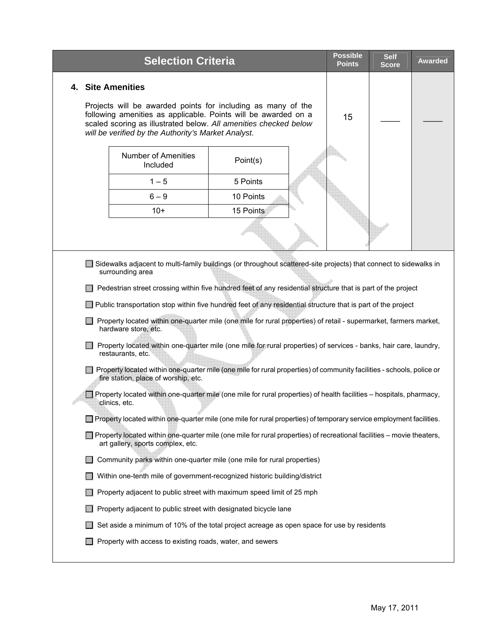|    | <b>Selection Criteria</b>                                       |                                                                                                                                                                                                                                                                                                                                                          | <b>Possible</b><br><b>Points</b> | <b>Self</b><br><b>Score</b> | <b>Awarded</b> |
|----|-----------------------------------------------------------------|----------------------------------------------------------------------------------------------------------------------------------------------------------------------------------------------------------------------------------------------------------------------------------------------------------------------------------------------------------|----------------------------------|-----------------------------|----------------|
| 4. | <b>Site Amenities</b>                                           |                                                                                                                                                                                                                                                                                                                                                          |                                  |                             |                |
|    | will be verified by the Authority's Market Analyst.             | Projects will be awarded points for including as many of the<br>following amenities as applicable. Points will be awarded on a<br>scaled scoring as illustrated below. All amenities checked below                                                                                                                                                       | 15                               |                             |                |
|    | <b>Number of Amenities</b><br>Included                          | Point(s)                                                                                                                                                                                                                                                                                                                                                 |                                  |                             |                |
|    | $1 - 5$                                                         | 5 Points                                                                                                                                                                                                                                                                                                                                                 |                                  |                             |                |
|    | $6 - 9$                                                         | 10 Points                                                                                                                                                                                                                                                                                                                                                |                                  |                             |                |
|    | $10+$                                                           | 15 Points                                                                                                                                                                                                                                                                                                                                                |                                  |                             |                |
|    |                                                                 |                                                                                                                                                                                                                                                                                                                                                          |                                  |                             |                |
|    | surrounding area                                                | Sidewalks adjacent to multi-family buildings (or throughout scattered-site projects) that connect to sidewalks in<br>Pedestrian street crossing within five hundred feet of any residential structure that is part of the project<br>$\Box$ Public transportation stop within five hundred feet of any residential structure that is part of the project |                                  |                             |                |
|    | hardware store, etc.                                            | Property located within one-quarter mile (one mile for rural properties) of retail - supermarket, farmers market,                                                                                                                                                                                                                                        |                                  |                             |                |
|    | restaurants, etc.                                               | Property located within one-quarter mile (one mile for rural properties) of services - banks, hair care, laundry,                                                                                                                                                                                                                                        |                                  |                             |                |
|    | fire station, place of worship, etc.                            | Property located within one-quarter mile (one mile for rural properties) of community facilities - schools, police or                                                                                                                                                                                                                                    |                                  |                             |                |
|    | clinics, etc.                                                   | $\Box$ Property located within one-quarter mile (one mile for rural properties) of health facilities – hospitals, pharmacy,                                                                                                                                                                                                                              |                                  |                             |                |
|    |                                                                 | $\Box$ Property located within one-quarter mile (one mile for rural properties) of temporary service employment facilities.                                                                                                                                                                                                                              |                                  |                             |                |
|    | art gallery, sports complex, etc.                               | $\Box$ Property located within one-quarter mile (one mile for rural properties) of recreational facilities – movie theaters,                                                                                                                                                                                                                             |                                  |                             |                |
|    |                                                                 | Community parks within one-quarter mile (one mile for rural properties)                                                                                                                                                                                                                                                                                  |                                  |                             |                |
|    |                                                                 | Within one-tenth mile of government-recognized historic building/district                                                                                                                                                                                                                                                                                |                                  |                             |                |
|    |                                                                 | Property adjacent to public street with maximum speed limit of 25 mph                                                                                                                                                                                                                                                                                    |                                  |                             |                |
|    | Property adjacent to public street with designated bicycle lane |                                                                                                                                                                                                                                                                                                                                                          |                                  |                             |                |
|    |                                                                 | Set aside a minimum of 10% of the total project acreage as open space for use by residents                                                                                                                                                                                                                                                               |                                  |                             |                |
|    | Property with access to existing roads, water, and sewers       |                                                                                                                                                                                                                                                                                                                                                          |                                  |                             |                |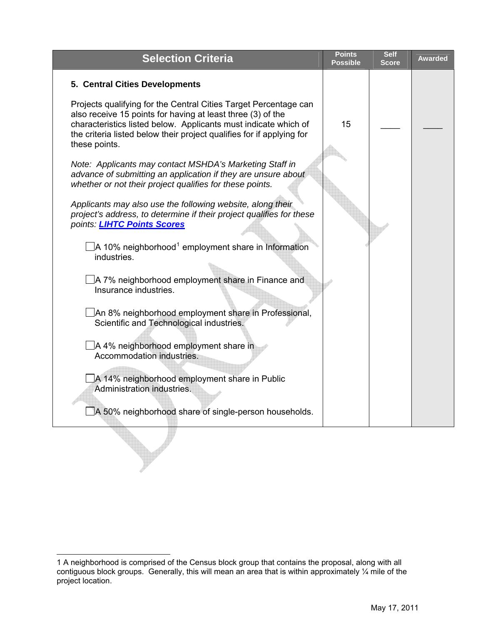| <b>Selection Criteria</b>                                                                                                                                                                                                                                                                    | <b>Points</b><br><b>Possible</b> | <b>Self</b><br><b>Score</b> | <b>Awarded</b> |
|----------------------------------------------------------------------------------------------------------------------------------------------------------------------------------------------------------------------------------------------------------------------------------------------|----------------------------------|-----------------------------|----------------|
| 5. Central Cities Developments                                                                                                                                                                                                                                                               |                                  |                             |                |
| Projects qualifying for the Central Cities Target Percentage can<br>also receive 15 points for having at least three (3) of the<br>characteristics listed below. Applicants must indicate which of<br>the criteria listed below their project qualifies for if applying for<br>these points. | 15                               |                             |                |
| Note: Applicants may contact MSHDA's Marketing Staff in<br>advance of submitting an application if they are unsure about<br>whether or not their project qualifies for these points.                                                                                                         |                                  |                             |                |
| Applicants may also use the following website, along their<br>project's address, to determine if their project qualifies for these<br>points: <b>LIHTC Points Scores</b>                                                                                                                     |                                  |                             |                |
| $\Box$ A 10% neighborhood <sup>1</sup> employment share in Information<br>industries.                                                                                                                                                                                                        |                                  |                             |                |
| ∆A 7% neighborhood employment share in Finance and<br>Insurance industries.                                                                                                                                                                                                                  |                                  |                             |                |
| JAn 8% neighborhood employment share in Professional,<br>Scientific and Technological industries.                                                                                                                                                                                            |                                  |                             |                |
| A 4% neighborhood employment share in<br>Accommodation industries.                                                                                                                                                                                                                           |                                  |                             |                |
| A 14% neighborhood employment share in Public<br>Administration industries.                                                                                                                                                                                                                  |                                  |                             |                |
| A 50% neighborhood share of single-person households.                                                                                                                                                                                                                                        |                                  |                             |                |
|                                                                                                                                                                                                                                                                                              |                                  |                             |                |

<span id="page-3-0"></span> $\overline{a}$ 1 A neighborhood is comprised of the Census block group that contains the proposal, along with all contiguous block groups. Generally, this will mean an area that is within approximately ¼ mile of the project location.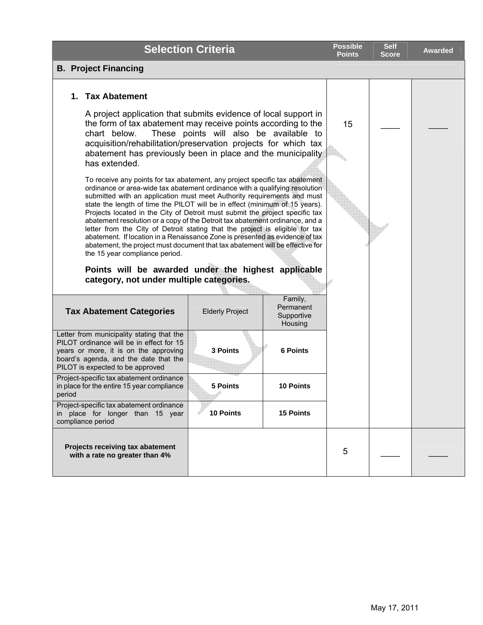|                                                                                                                                                                                                                                                                                                                                                                                                                                                                                                                                                                                                                                                                                                                                                                                                                                                                            | <b>Selection Criteria</b> |                  | <b>Possible</b><br><b>Points</b> | <b>Self</b><br><b>Score</b> | <b>Awarded</b> |
|----------------------------------------------------------------------------------------------------------------------------------------------------------------------------------------------------------------------------------------------------------------------------------------------------------------------------------------------------------------------------------------------------------------------------------------------------------------------------------------------------------------------------------------------------------------------------------------------------------------------------------------------------------------------------------------------------------------------------------------------------------------------------------------------------------------------------------------------------------------------------|---------------------------|------------------|----------------------------------|-----------------------------|----------------|
| <b>B. Project Financing</b>                                                                                                                                                                                                                                                                                                                                                                                                                                                                                                                                                                                                                                                                                                                                                                                                                                                |                           |                  |                                  |                             |                |
| 1. Tax Abatement                                                                                                                                                                                                                                                                                                                                                                                                                                                                                                                                                                                                                                                                                                                                                                                                                                                           |                           |                  |                                  |                             |                |
| A project application that submits evidence of local support in<br>the form of tax abatement may receive points according to the<br>These points will also be available to<br>chart below.<br>acquisition/rehabilitation/preservation projects for which tax<br>abatement has previously been in place and the municipality<br>has extended.                                                                                                                                                                                                                                                                                                                                                                                                                                                                                                                               |                           |                  | 15                               |                             |                |
| To receive any points for tax abatement, any project specific tax abatement<br>ordinance or area-wide tax abatement ordinance with a qualifying resolution<br>submitted with an application must meet Authority requirements and must<br>state the length of time the PILOT will be in effect (minimum of 15 years).<br>Projects located in the City of Detroit must submit the project specific tax<br>abatement resolution or a copy of the Detroit tax abatement ordinance, and a<br>letter from the City of Detroit stating that the project is eligible for tax<br>abatement. If location in a Renaissance Zone is presented as evidence of tax<br>abatement, the project must document that tax abatement will be effective for<br>the 15 year compliance period.<br>Points will be awarded under the highest applicable<br>category, not under multiple categories. |                           |                  |                                  |                             |                |
| Family,<br>Permanent<br><b>Tax Abatement Categories</b><br><b>Elderly Project</b><br>Supportive<br>Housing                                                                                                                                                                                                                                                                                                                                                                                                                                                                                                                                                                                                                                                                                                                                                                 |                           |                  |                                  |                             |                |
| Letter from municipality stating that the<br>PILOT ordinance will be in effect for 15<br>years or more, it is on the approving<br>board's agenda, and the date that the<br>PILOT is expected to be approved                                                                                                                                                                                                                                                                                                                                                                                                                                                                                                                                                                                                                                                                | 3 Points                  | <b>6 Points</b>  |                                  |                             |                |
| Project-specific tax abatement ordinance<br>in place for the entire 15 year compliance<br>perioa                                                                                                                                                                                                                                                                                                                                                                                                                                                                                                                                                                                                                                                                                                                                                                           | <b>5 Points</b>           | <b>10 Points</b> |                                  |                             |                |
| Project-specific tax abatement ordinance<br>in place for longer than 15 year<br>compliance period                                                                                                                                                                                                                                                                                                                                                                                                                                                                                                                                                                                                                                                                                                                                                                          | 10 Points                 | <b>15 Points</b> |                                  |                             |                |
| Projects receiving tax abatement<br>with a rate no greater than 4%                                                                                                                                                                                                                                                                                                                                                                                                                                                                                                                                                                                                                                                                                                                                                                                                         |                           |                  | 5                                |                             |                |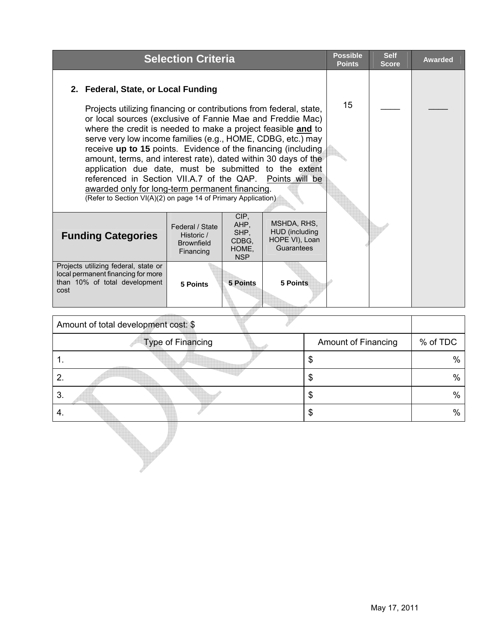| 2. Federal, State, or Local Funding<br>15<br>Projects utilizing financing or contributions from federal, state,<br>or local sources (exclusive of Fannie Mae and Freddie Mac)<br>where the credit is needed to make a project feasible and to<br>serve very low income families (e.g., HOME, CDBG, etc.) may<br>receive up to 15 points. Evidence of the financing (including<br>amount, terms, and interest rate), dated within 30 days of the<br>application due date, must be submitted to the extent<br>referenced in Section VII.A.7 of the QAP. Points will be |                                                 | <b>Selection Criteria</b> |  |  | <b>Possible</b><br><b>Points</b> | <b>Self</b><br><b>Score</b> | <b>Awarded</b> |
|----------------------------------------------------------------------------------------------------------------------------------------------------------------------------------------------------------------------------------------------------------------------------------------------------------------------------------------------------------------------------------------------------------------------------------------------------------------------------------------------------------------------------------------------------------------------|-------------------------------------------------|---------------------------|--|--|----------------------------------|-----------------------------|----------------|
|                                                                                                                                                                                                                                                                                                                                                                                                                                                                                                                                                                      |                                                 |                           |  |  |                                  |                             |                |
|                                                                                                                                                                                                                                                                                                                                                                                                                                                                                                                                                                      |                                                 |                           |  |  |                                  |                             |                |
|                                                                                                                                                                                                                                                                                                                                                                                                                                                                                                                                                                      |                                                 |                           |  |  |                                  |                             |                |
| (Refer to Section VI(A)(2) on page 14 of Primary Application)                                                                                                                                                                                                                                                                                                                                                                                                                                                                                                        | awarded only for long-term permanent financing. |                           |  |  |                                  |                             |                |
| CIP,<br>MSHDA, RHS,<br>AHP,<br>Federal / State<br>HUD (including<br>SHP,<br><b>Funding Categories</b><br>Historic /<br>HOPE VI), Loan<br>CDBG.<br><b>Brownfield</b><br>Guarantees<br>HOME,<br>Financing<br><b>NSP</b>                                                                                                                                                                                                                                                                                                                                                |                                                 |                           |  |  |                                  |                             |                |
| Projects utilizing federal, state or<br>local permanent financing for more<br>than 10% of total development<br><b>5 Points</b><br><b>5 Points</b><br>5 Points<br>cost                                                                                                                                                                                                                                                                                                                                                                                                |                                                 |                           |  |  |                                  |                             |                |

|    | Amount of total development cost: \$ |                            |          |
|----|--------------------------------------|----------------------------|----------|
|    | <b>Type of Financing</b>             | <b>Amount of Financing</b> | % of TDC |
|    |                                      | \$                         | $\%$     |
| 2. |                                      | $\frac{1}{2}$              | $\%$     |
| 3. |                                      | $\frac{1}{2}$              | $\%$     |
| 4. |                                      | $\boldsymbol{\theta}$      | $\%$     |
|    |                                      |                            |          |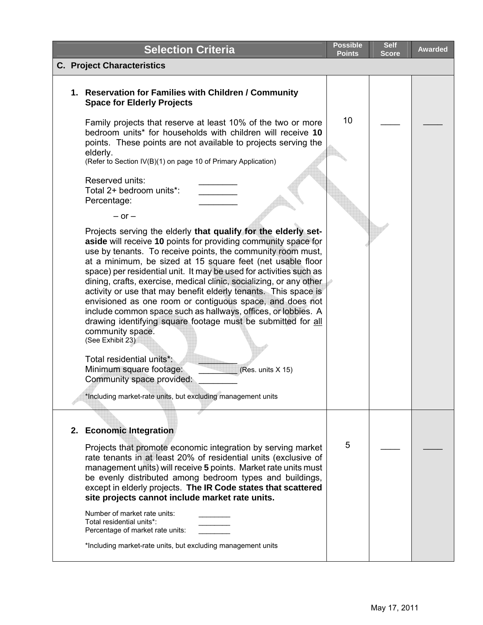| <b>Selection Criteria</b>                                                                                                                                                                                                                                                                                                                                                                                                                                                                                                                                                                                                                                                                                                                                                                                                                                                                    | <b>Possible</b><br><b>Points</b> | <b>Self</b><br><b>Score</b> | <b>Awarded</b> |
|----------------------------------------------------------------------------------------------------------------------------------------------------------------------------------------------------------------------------------------------------------------------------------------------------------------------------------------------------------------------------------------------------------------------------------------------------------------------------------------------------------------------------------------------------------------------------------------------------------------------------------------------------------------------------------------------------------------------------------------------------------------------------------------------------------------------------------------------------------------------------------------------|----------------------------------|-----------------------------|----------------|
| <b>C. Project Characteristics</b>                                                                                                                                                                                                                                                                                                                                                                                                                                                                                                                                                                                                                                                                                                                                                                                                                                                            |                                  |                             |                |
| 1. Reservation for Families with Children / Community<br><b>Space for Elderly Projects</b>                                                                                                                                                                                                                                                                                                                                                                                                                                                                                                                                                                                                                                                                                                                                                                                                   |                                  |                             |                |
| Family projects that reserve at least 10% of the two or more<br>bedroom units* for households with children will receive 10<br>points. These points are not available to projects serving the<br>elderly.<br>(Refer to Section IV(B)(1) on page 10 of Primary Application)                                                                                                                                                                                                                                                                                                                                                                                                                                                                                                                                                                                                                   | 10                               |                             |                |
| Reserved units:<br>Total 2+ bedroom units*:<br>Percentage:<br>$-$ or $-$                                                                                                                                                                                                                                                                                                                                                                                                                                                                                                                                                                                                                                                                                                                                                                                                                     |                                  |                             |                |
| Projects serving the elderly that qualify for the elderly set-<br>aside will receive 10 points for providing community space for<br>use by tenants. To receive points, the community room must,<br>at a minimum, be sized at 15 square feet (net usable floor<br>space) per residential unit. It may be used for activities such as<br>dining, crafts, exercise, medical clinic, socializing, or any other<br>activity or use that may benefit elderly tenants. This space is<br>envisioned as one room or contiguous space, and does not<br>include common space such as hallways, offices, or lobbies. A<br>drawing identifying square footage must be submitted for all<br>community space.<br>(See Exhibit 23)<br>Total residential units*:<br>Minimum square footage:<br>(Res. units X 15)<br>Community space provided:<br>*Including market-rate units, but excluding management units |                                  |                             |                |
| 2. Economic Integration<br>Projects that promote economic integration by serving market<br>rate tenants in at least 20% of residential units (exclusive of<br>management units) will receive 5 points. Market rate units must<br>be evenly distributed among bedroom types and buildings,<br>except in elderly projects. The IR Code states that scattered<br>site projects cannot include market rate units.<br>Number of market rate units:<br>Total residential units*:<br>Percentage of market rate units:<br>*Including market-rate units, but excluding management units                                                                                                                                                                                                                                                                                                               | 5                                |                             |                |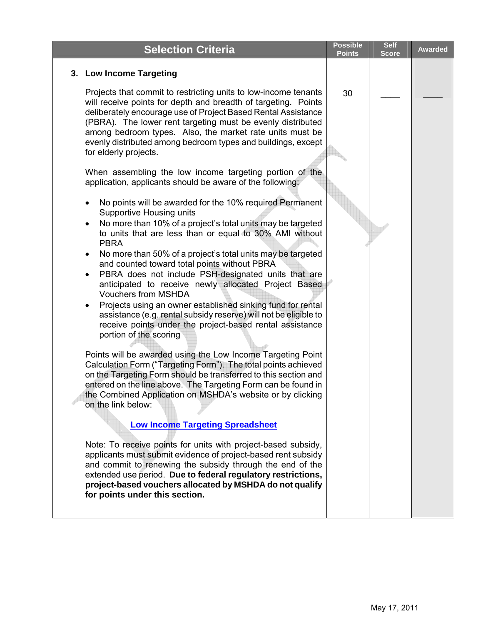| <b>Selection Criteria</b>                                                                                                                                                                                                                                                                                                                                                                                                                                                                                                                                                                                                                                                                                                                                                                                                                                                                                                                                                                                                                                                                                                                                                                                                                                                                                                                                                                                                                                                                                                                                                                                                                                                                                                                                                                                                                                                                                                                                                                                                             | <b>Possible</b><br><b>Points</b> | <b>Self</b><br><b>Score</b> | <b>Awarded</b> |
|---------------------------------------------------------------------------------------------------------------------------------------------------------------------------------------------------------------------------------------------------------------------------------------------------------------------------------------------------------------------------------------------------------------------------------------------------------------------------------------------------------------------------------------------------------------------------------------------------------------------------------------------------------------------------------------------------------------------------------------------------------------------------------------------------------------------------------------------------------------------------------------------------------------------------------------------------------------------------------------------------------------------------------------------------------------------------------------------------------------------------------------------------------------------------------------------------------------------------------------------------------------------------------------------------------------------------------------------------------------------------------------------------------------------------------------------------------------------------------------------------------------------------------------------------------------------------------------------------------------------------------------------------------------------------------------------------------------------------------------------------------------------------------------------------------------------------------------------------------------------------------------------------------------------------------------------------------------------------------------------------------------------------------------|----------------------------------|-----------------------------|----------------|
| 3. Low Income Targeting                                                                                                                                                                                                                                                                                                                                                                                                                                                                                                                                                                                                                                                                                                                                                                                                                                                                                                                                                                                                                                                                                                                                                                                                                                                                                                                                                                                                                                                                                                                                                                                                                                                                                                                                                                                                                                                                                                                                                                                                               |                                  |                             |                |
| Projects that commit to restricting units to low-income tenants<br>will receive points for depth and breadth of targeting. Points<br>deliberately encourage use of Project Based Rental Assistance<br>(PBRA). The lower rent targeting must be evenly distributed<br>among bedroom types. Also, the market rate units must be<br>evenly distributed among bedroom types and buildings, except<br>for elderly projects.<br>When assembling the low income targeting portion of the<br>application, applicants should be aware of the following:<br>No points will be awarded for the 10% required Permanent<br>Supportive Housing units<br>No more than 10% of a project's total units may be targeted<br>to units that are less than or equal to 30% AMI without<br><b>PBRA</b><br>No more than 50% of a project's total units may be targeted<br>and counted toward total points without PBRA<br>PBRA does not include PSH-designated units that are<br>anticipated to receive newly allocated Project Based<br><b>Vouchers from MSHDA</b><br>Projects using an owner established sinking fund for rental<br>assistance (e.g. rental subsidy reserve) will not be eligible to<br>receive points under the project-based rental assistance<br>portion of the scoring<br>Points will be awarded using the Low Income Targeting Point<br>Calculation Form ("Targeting Form"). The total points achieved<br>on the Targeting Form should be transferred to this section and<br>entered on the line above. The Targeting Form can be found in<br>the Combined Application on MSHDA's website or by clicking<br>on the link below:<br><b>Low Income Targeting Spreadsheet</b><br>Note: To receive points for units with project-based subsidy,<br>applicants must submit evidence of project-based rent subsidy<br>and commit to renewing the subsidy through the end of the<br>extended use period. Due to federal regulatory restrictions,<br>project-based vouchers allocated by MSHDA do not qualify<br>for points under this section. | 30                               |                             |                |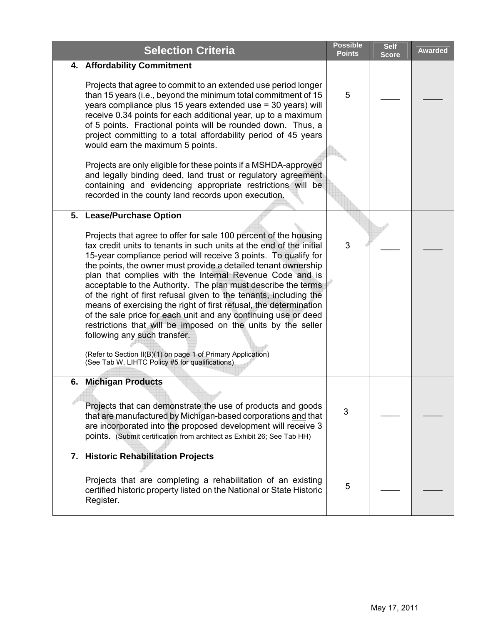| <b>Selection Criteria</b>                                                                                                                                                                                                                                                                                                                                                                                                                                                                                                                                                                                                                                                                                                                                                                                                                | <b>Possible</b><br><b>Points</b> | <b>Self</b><br><b>Score</b> | <b>Awarded</b> |
|------------------------------------------------------------------------------------------------------------------------------------------------------------------------------------------------------------------------------------------------------------------------------------------------------------------------------------------------------------------------------------------------------------------------------------------------------------------------------------------------------------------------------------------------------------------------------------------------------------------------------------------------------------------------------------------------------------------------------------------------------------------------------------------------------------------------------------------|----------------------------------|-----------------------------|----------------|
| 4. Affordability Commitment                                                                                                                                                                                                                                                                                                                                                                                                                                                                                                                                                                                                                                                                                                                                                                                                              |                                  |                             |                |
| Projects that agree to commit to an extended use period longer<br>than 15 years (i.e., beyond the minimum total commitment of 15<br>years compliance plus 15 years extended use = 30 years) will<br>receive 0.34 points for each additional year, up to a maximum<br>of 5 points. Fractional points will be rounded down. Thus, a<br>project committing to a total affordability period of 45 years<br>would earn the maximum 5 points.                                                                                                                                                                                                                                                                                                                                                                                                  | 5                                |                             |                |
| Projects are only eligible for these points if a MSHDA-approved<br>and legally binding deed, land trust or regulatory agreement<br>containing and evidencing appropriate restrictions will be<br>recorded in the county land records upon execution.                                                                                                                                                                                                                                                                                                                                                                                                                                                                                                                                                                                     |                                  |                             |                |
| 5. Lease/Purchase Option                                                                                                                                                                                                                                                                                                                                                                                                                                                                                                                                                                                                                                                                                                                                                                                                                 |                                  |                             |                |
| Projects that agree to offer for sale 100 percent of the housing<br>tax credit units to tenants in such units at the end of the initial<br>15-year compliance period will receive 3 points. To qualify for<br>the points, the owner must provide a detailed tenant ownership<br>plan that complies with the Internal Revenue Code and is<br>acceptable to the Authority. The plan must describe the terms<br>of the right of first refusal given to the tenants, including the<br>means of exercising the right of first refusal, the determination<br>of the sale price for each unit and any continuing use or deed<br>restrictions that will be imposed on the units by the seller<br>following any such transfer.<br>(Refer to Section II(B)(1) on page 1 of Primary Application)<br>(See Tab W, LIHTC Policy #5 for qualifications) | 3                                |                             |                |
| <b>Michigan Products</b><br>6.<br>Projects that can demonstrate the use of products and goods<br>that are manufactured by Michigan-based corporations and that<br>are incorporated into the proposed development will receive 3<br>points. (Submit certification from architect as Exhibit 26; See Tab HH)                                                                                                                                                                                                                                                                                                                                                                                                                                                                                                                               | 3                                |                             |                |
| 7. Historic Rehabilitation Projects<br>Projects that are completing a rehabilitation of an existing<br>certified historic property listed on the National or State Historic<br>Register.                                                                                                                                                                                                                                                                                                                                                                                                                                                                                                                                                                                                                                                 | 5                                |                             |                |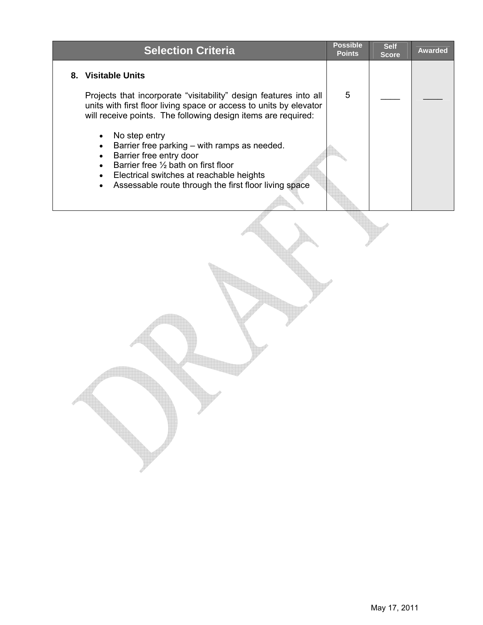| <b>Selection Criteria</b>                                                                                                                                                                                                             | <b>Possible</b><br><b>Points</b> | <b>Self</b><br><b>Score</b> | <b>Awarded</b> |
|---------------------------------------------------------------------------------------------------------------------------------------------------------------------------------------------------------------------------------------|----------------------------------|-----------------------------|----------------|
| 8. Visitable Units<br>Projects that incorporate "visitability" design features into all<br>units with first floor living space or access to units by elevator<br>will receive points. The following design items are required:        | 5                                |                             |                |
| No step entry<br>Barrier free parking – with ramps as needed.<br>Barrier free entry door<br>Barrier free 1/2 bath on first floor<br>Electrical switches at reachable heights<br>Assessable route through the first floor living space |                                  |                             |                |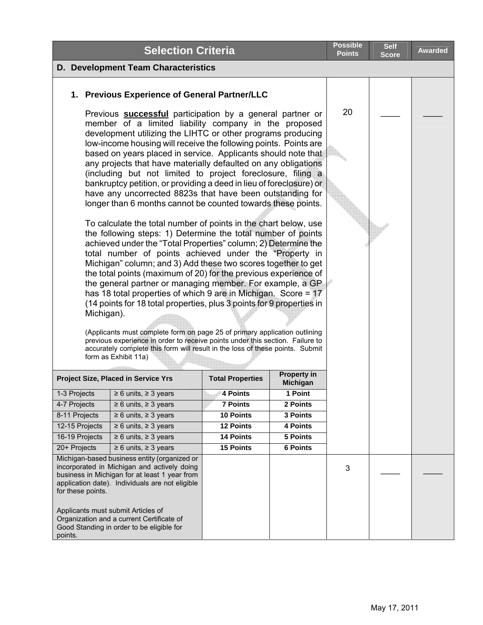|                                                                                                                                                                                                                                                                                                                                                                                                                                                                                                                                                                                                                                                                                                                                                                                                                                                                                                                                                                                                                                                                                                                                                                                                                                                                                                                                                                                                                                                                                                                                                                     | <b>Selection Criteria</b>                                                                                                                                                                                                             |                         |                                       | Possible<br><b>Points</b> | <b>Self</b><br>Score | <b>Awarded</b> |
|---------------------------------------------------------------------------------------------------------------------------------------------------------------------------------------------------------------------------------------------------------------------------------------------------------------------------------------------------------------------------------------------------------------------------------------------------------------------------------------------------------------------------------------------------------------------------------------------------------------------------------------------------------------------------------------------------------------------------------------------------------------------------------------------------------------------------------------------------------------------------------------------------------------------------------------------------------------------------------------------------------------------------------------------------------------------------------------------------------------------------------------------------------------------------------------------------------------------------------------------------------------------------------------------------------------------------------------------------------------------------------------------------------------------------------------------------------------------------------------------------------------------------------------------------------------------|---------------------------------------------------------------------------------------------------------------------------------------------------------------------------------------------------------------------------------------|-------------------------|---------------------------------------|---------------------------|----------------------|----------------|
|                                                                                                                                                                                                                                                                                                                                                                                                                                                                                                                                                                                                                                                                                                                                                                                                                                                                                                                                                                                                                                                                                                                                                                                                                                                                                                                                                                                                                                                                                                                                                                     | <b>D. Development Team Characteristics</b>                                                                                                                                                                                            |                         |                                       |                           |                      |                |
|                                                                                                                                                                                                                                                                                                                                                                                                                                                                                                                                                                                                                                                                                                                                                                                                                                                                                                                                                                                                                                                                                                                                                                                                                                                                                                                                                                                                                                                                                                                                                                     | 1. Previous Experience of General Partner/LLC                                                                                                                                                                                         |                         |                                       |                           |                      |                |
| Previous <b>successful</b> participation by a general partner or<br>member of a limited liability company in the proposed<br>development utilizing the LIHTC or other programs producing<br>low-income housing will receive the following points. Points are<br>based on years placed in service. Applicants should note that<br>any projects that have materially defaulted on any obligations<br>(including but not limited to project foreclosure, filing a<br>bankruptcy petition, or providing a deed in lieu of foreclosure) or<br>have any uncorrected 8823s that have been outstanding for<br>longer than 6 months cannot be counted towards these points.<br>To calculate the total number of points in the chart below, use<br>the following steps: 1) Determine the total number of points<br>achieved under the "Total Properties" column; 2) Determine the<br>total number of points achieved under the "Property in<br>Michigan" column; and 3) Add these two scores together to get<br>the total points (maximum of 20) for the previous experience of<br>the general partner or managing member. For example, a GP<br>has 18 total properties of which 9 are in Michigan. Score = 17<br>(14 points for 18 total properties, plus 3 points for 9 properties in<br>Michigan).<br>(Applicants must complete form on page 25 of primary application outlining<br>previous experience in order to receive points under this section. Failure to<br>accurately complete this form will result in the loss of these points. Submit<br>form as Exhibit 11a) |                                                                                                                                                                                                                                       |                         |                                       | 20                        |                      |                |
|                                                                                                                                                                                                                                                                                                                                                                                                                                                                                                                                                                                                                                                                                                                                                                                                                                                                                                                                                                                                                                                                                                                                                                                                                                                                                                                                                                                                                                                                                                                                                                     | <b>Project Size, Placed in Service Yrs</b>                                                                                                                                                                                            | <b>Total Properties</b> | <b>Property in</b><br><b>Michigan</b> |                           |                      |                |
| 1-3 Projects                                                                                                                                                                                                                                                                                                                                                                                                                                                                                                                                                                                                                                                                                                                                                                                                                                                                                                                                                                                                                                                                                                                                                                                                                                                                                                                                                                                                                                                                                                                                                        | $\geq 6$ units, $\geq 3$ years                                                                                                                                                                                                        | 4 Points                | 1 Point                               |                           |                      |                |
| 4-7 Projects                                                                                                                                                                                                                                                                                                                                                                                                                                                                                                                                                                                                                                                                                                                                                                                                                                                                                                                                                                                                                                                                                                                                                                                                                                                                                                                                                                                                                                                                                                                                                        | $\geq 6$ units, $\geq 3$ years                                                                                                                                                                                                        | <b>7 Points</b>         | 2 Points                              |                           |                      |                |
| 8-11 Projects                                                                                                                                                                                                                                                                                                                                                                                                                                                                                                                                                                                                                                                                                                                                                                                                                                                                                                                                                                                                                                                                                                                                                                                                                                                                                                                                                                                                                                                                                                                                                       | $\geq 6$ units, $\geq 3$ years                                                                                                                                                                                                        | 10 Points               | 3 Points                              |                           |                      |                |
| 12-15 Projects                                                                                                                                                                                                                                                                                                                                                                                                                                                                                                                                                                                                                                                                                                                                                                                                                                                                                                                                                                                                                                                                                                                                                                                                                                                                                                                                                                                                                                                                                                                                                      | $\geq 6$ units, $\geq 3$ years                                                                                                                                                                                                        | <b>12 Points</b>        | 4 Points                              |                           |                      |                |
| 16-19 Projects                                                                                                                                                                                                                                                                                                                                                                                                                                                                                                                                                                                                                                                                                                                                                                                                                                                                                                                                                                                                                                                                                                                                                                                                                                                                                                                                                                                                                                                                                                                                                      | $\geq 6$ units, $\geq 3$ years                                                                                                                                                                                                        | <b>14 Points</b>        | 5 Points                              |                           |                      |                |
| 20+ Projects                                                                                                                                                                                                                                                                                                                                                                                                                                                                                                                                                                                                                                                                                                                                                                                                                                                                                                                                                                                                                                                                                                                                                                                                                                                                                                                                                                                                                                                                                                                                                        | $\geq 6$ units, $\geq 3$ years                                                                                                                                                                                                        | <b>15 Points</b>        | <b>6 Points</b>                       |                           |                      |                |
| for these points.                                                                                                                                                                                                                                                                                                                                                                                                                                                                                                                                                                                                                                                                                                                                                                                                                                                                                                                                                                                                                                                                                                                                                                                                                                                                                                                                                                                                                                                                                                                                                   | Michigan-based business entity (organized or<br>incorporated in Michigan and actively doing<br>business in Michigan for at least 1 year from<br>application date). Individuals are not eligible<br>Applicants must submit Articles of |                         |                                       | 3                         |                      |                |
| points.                                                                                                                                                                                                                                                                                                                                                                                                                                                                                                                                                                                                                                                                                                                                                                                                                                                                                                                                                                                                                                                                                                                                                                                                                                                                                                                                                                                                                                                                                                                                                             | Organization and a current Certificate of<br>Good Standing in order to be eligible for                                                                                                                                                |                         |                                       |                           |                      |                |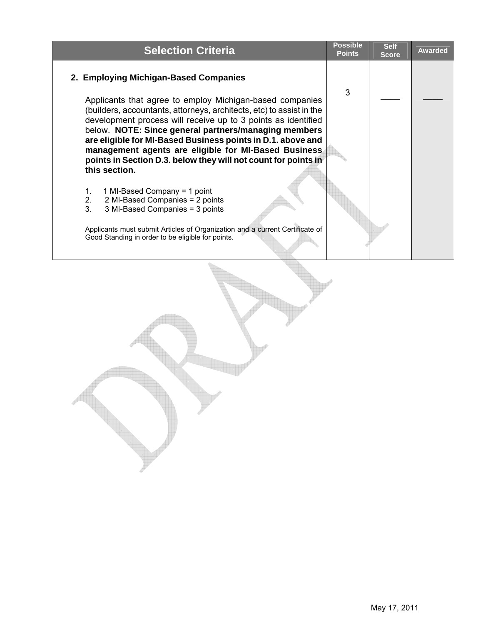| <b>Selection Criteria</b>                                                                                                                                                                                                                                                                                                                                                                                                                                           | <b>Possible</b><br><b>Points</b> | <b>Self</b><br><b>Score</b> | <b>Awarded</b> |
|---------------------------------------------------------------------------------------------------------------------------------------------------------------------------------------------------------------------------------------------------------------------------------------------------------------------------------------------------------------------------------------------------------------------------------------------------------------------|----------------------------------|-----------------------------|----------------|
| 2. Employing Michigan-Based Companies                                                                                                                                                                                                                                                                                                                                                                                                                               |                                  |                             |                |
| Applicants that agree to employ Michigan-based companies<br>(builders, accountants, attorneys, architects, etc) to assist in the<br>development process will receive up to 3 points as identified<br>below. NOTE: Since general partners/managing members<br>are eligible for MI-Based Business points in D.1. above and<br>management agents are eligible for MI-Based Business<br>points in Section D.3. below they will not count for points in<br>this section. | 3                                |                             |                |
| 1 MI-Based Company = 1 point<br>1.<br>2.<br>2 MI-Based Companies = 2 points<br>3 <sub>1</sub><br>3 MI-Based Companies = 3 points                                                                                                                                                                                                                                                                                                                                    |                                  |                             |                |
| Applicants must submit Articles of Organization and a current Certificate of<br>Good Standing in order to be eligible for points.                                                                                                                                                                                                                                                                                                                                   |                                  |                             |                |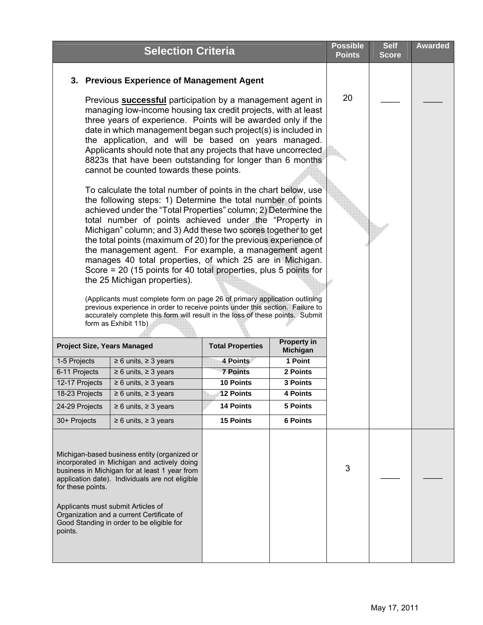|                                    | <b>Selection Criteria</b>                                                                                                                                                                                                                                                                                                                                                                                                                                                                                                                                                                                                                                                                                                                                                                                                                                                                                              |                         |                                       | <b>Possible</b><br><b>Points</b> | <b>Self</b><br><b>Score</b> | <b>Awarded</b> |
|------------------------------------|------------------------------------------------------------------------------------------------------------------------------------------------------------------------------------------------------------------------------------------------------------------------------------------------------------------------------------------------------------------------------------------------------------------------------------------------------------------------------------------------------------------------------------------------------------------------------------------------------------------------------------------------------------------------------------------------------------------------------------------------------------------------------------------------------------------------------------------------------------------------------------------------------------------------|-------------------------|---------------------------------------|----------------------------------|-----------------------------|----------------|
|                                    | 3. Previous Experience of Management Agent                                                                                                                                                                                                                                                                                                                                                                                                                                                                                                                                                                                                                                                                                                                                                                                                                                                                             |                         |                                       |                                  |                             |                |
|                                    | Previous <b>successful</b> participation by a management agent in<br>managing low-income housing tax credit projects, with at least<br>three years of experience. Points will be awarded only if the<br>date in which management began such project(s) is included in<br>the application, and will be based on years managed.<br>Applicants should note that any projects that have uncorrected<br>8823s that have been outstanding for longer than 6 months                                                                                                                                                                                                                                                                                                                                                                                                                                                           |                         |                                       | 20                               |                             |                |
| form as Exhibit 11b)               | cannot be counted towards these points.<br>To calculate the total number of points in the chart below, use<br>the following steps: 1) Determine the total number of points<br>achieved under the "Total Properties" column; 2) Determine the<br>total number of points achieved under the "Property in<br>Michigan" column; and 3) Add these two scores together to get<br>the total points (maximum of 20) for the previous experience of<br>the management agent. For example, a management agent<br>manages 40 total properties, of which 25 are in Michigan.<br>Score = $20$ (15 points for 40 total properties, plus 5 points for<br>the 25 Michigan properties).<br>(Applicants must complete form on page 26 of primary application outlining<br>previous experience in order to receive points under this section. Failure to<br>accurately complete this form will result in the loss of these points. Submit |                         |                                       |                                  |                             |                |
| <b>Project Size, Years Managed</b> |                                                                                                                                                                                                                                                                                                                                                                                                                                                                                                                                                                                                                                                                                                                                                                                                                                                                                                                        | <b>Total Properties</b> | <b>Property in</b><br><b>Michigan</b> |                                  |                             |                |
| 1-5 Projects                       | $\geq 6$ units, $\geq 3$ years                                                                                                                                                                                                                                                                                                                                                                                                                                                                                                                                                                                                                                                                                                                                                                                                                                                                                         | 4 Points                | 1 Point                               |                                  |                             |                |
| 6-11 Projects                      | $\geq 6$ units, $\geq 3$ years                                                                                                                                                                                                                                                                                                                                                                                                                                                                                                                                                                                                                                                                                                                                                                                                                                                                                         | <b>7 Points</b>         | 2 Points                              |                                  |                             |                |
| 12-17 Projects                     | $\geq 6$ units, $\geq 3$ years                                                                                                                                                                                                                                                                                                                                                                                                                                                                                                                                                                                                                                                                                                                                                                                                                                                                                         | 10 Points               | 3 Points                              |                                  |                             |                |
| 18-23 Projects                     | $\geq 6$ units, $\geq 3$ years                                                                                                                                                                                                                                                                                                                                                                                                                                                                                                                                                                                                                                                                                                                                                                                                                                                                                         | 12 Points               | 4 Points                              |                                  |                             |                |
| 24-29 Projects                     | $\geq 6$ units, $\geq 3$ years                                                                                                                                                                                                                                                                                                                                                                                                                                                                                                                                                                                                                                                                                                                                                                                                                                                                                         | <b>14 Points</b>        | 5 Points                              |                                  |                             |                |
| 30+ Projects                       | $\geq 6$ units, $\geq 3$ years                                                                                                                                                                                                                                                                                                                                                                                                                                                                                                                                                                                                                                                                                                                                                                                                                                                                                         | <b>15 Points</b>        | <b>6 Points</b>                       |                                  |                             |                |
| for these points.<br>points.       | Michigan-based business entity (organized or<br>incorporated in Michigan and actively doing<br>business in Michigan for at least 1 year from<br>application date). Individuals are not eligible<br>Applicants must submit Articles of<br>Organization and a current Certificate of<br>Good Standing in order to be eligible for                                                                                                                                                                                                                                                                                                                                                                                                                                                                                                                                                                                        |                         |                                       | 3                                |                             |                |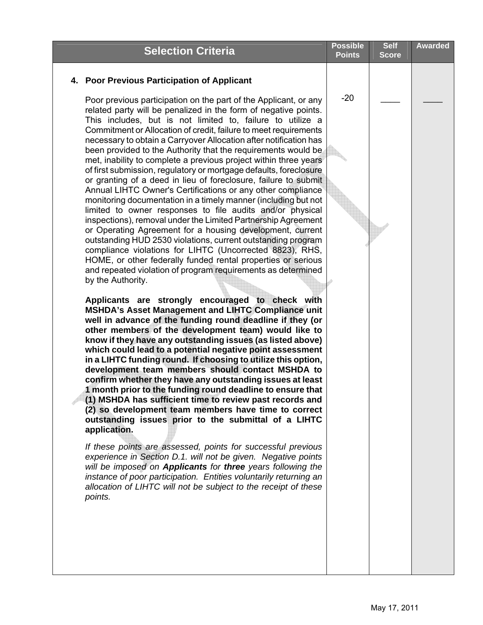| <b>Selection Criteria</b>                                                                                                                                                                                                                                                                                                                                                                                                                                                                                                                                                                                                                                                                                                                                                                                                                                                                                                                                                                                                                                                                                                                                                                                                                                                                                                                                                                                                                                                                                                                                                                                                                                                                                                                                                                                                                                                                                                                                                                                                                                                                                                                                                                                                                                                                                                                                                                            | <b>Possible</b><br><b>Points</b> | <b>Self</b><br><b>Score</b> | <b>Awarded</b> |
|------------------------------------------------------------------------------------------------------------------------------------------------------------------------------------------------------------------------------------------------------------------------------------------------------------------------------------------------------------------------------------------------------------------------------------------------------------------------------------------------------------------------------------------------------------------------------------------------------------------------------------------------------------------------------------------------------------------------------------------------------------------------------------------------------------------------------------------------------------------------------------------------------------------------------------------------------------------------------------------------------------------------------------------------------------------------------------------------------------------------------------------------------------------------------------------------------------------------------------------------------------------------------------------------------------------------------------------------------------------------------------------------------------------------------------------------------------------------------------------------------------------------------------------------------------------------------------------------------------------------------------------------------------------------------------------------------------------------------------------------------------------------------------------------------------------------------------------------------------------------------------------------------------------------------------------------------------------------------------------------------------------------------------------------------------------------------------------------------------------------------------------------------------------------------------------------------------------------------------------------------------------------------------------------------------------------------------------------------------------------------------------------------|----------------------------------|-----------------------------|----------------|
| 4. Poor Previous Participation of Applicant                                                                                                                                                                                                                                                                                                                                                                                                                                                                                                                                                                                                                                                                                                                                                                                                                                                                                                                                                                                                                                                                                                                                                                                                                                                                                                                                                                                                                                                                                                                                                                                                                                                                                                                                                                                                                                                                                                                                                                                                                                                                                                                                                                                                                                                                                                                                                          |                                  |                             |                |
| Poor previous participation on the part of the Applicant, or any<br>related party will be penalized in the form of negative points.<br>This includes, but is not limited to, failure to utilize a<br>Commitment or Allocation of credit, failure to meet requirements<br>necessary to obtain a Carryover Allocation after notification has<br>been provided to the Authority that the requirements would be<br>met, inability to complete a previous project within three years<br>of first submission, regulatory or mortgage defaults, foreclosure<br>or granting of a deed in lieu of foreclosure, failure to submit<br>Annual LIHTC Owner's Certifications or any other compliance<br>monitoring documentation in a timely manner (including but not<br>limited to owner responses to file audits and/or physical<br>inspections), removal under the Limited Partnership Agreement<br>or Operating Agreement for a housing development, current<br>outstanding HUD 2530 violations, current outstanding program<br>compliance violations for LIHTC (Uncorrected 8823), RHS,<br>HOME, or other federally funded rental properties or serious<br>and repeated violation of program requirements as determined<br>by the Authority.<br>Applicants are strongly encouraged to check with<br><b>MSHDA's Asset Management and LIHTC Compliance unit</b><br>well in advance of the funding round deadline if they (or<br>other members of the development team) would like to<br>know if they have any outstanding issues (as listed above)<br>which could lead to a potential negative point assessment<br>in a LIHTC funding round. If choosing to utilize this option,<br>development team members should contact MSHDA to<br>confirm whether they have any outstanding issues at least<br>1 month prior to the funding round deadline to ensure that<br>(1) MSHDA has sufficient time to review past records and<br>(2) so development team members have time to correct<br>outstanding issues prior to the submittal of a LIHTC<br>application.<br>If these points are assessed, points for successful previous<br>experience in Section D.1. will not be given. Negative points<br>will be imposed on Applicants for three years following the<br>instance of poor participation. Entities voluntarily returning an<br>allocation of LIHTC will not be subject to the receipt of these<br>points. | $-20$                            |                             |                |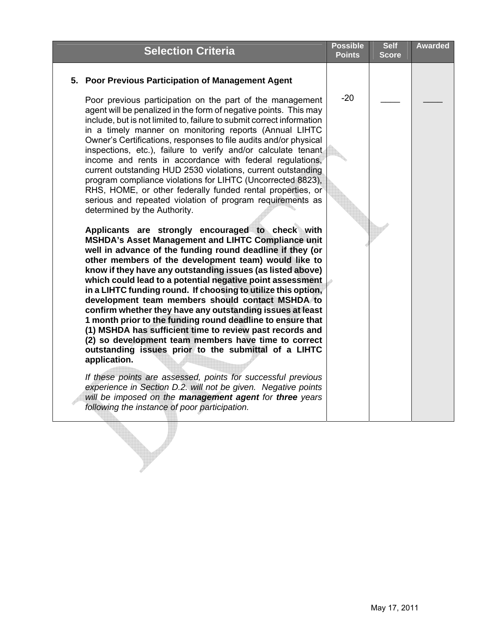| <b>Selection Criteria</b>                                                                                                                                                                                                                                                                                                                                                                                                                                                                                                                                                                                                                                                                                                                                                                                                                                                                                                                                                                                                                                                                                                                                                                                                                                                                                                                                                                                                                                                                                                                                                                                                                                                                                                                                            | <b>Possible</b><br><b>Points</b> | <b>Self</b><br><b>Score</b> | <b>Awarded</b> |
|----------------------------------------------------------------------------------------------------------------------------------------------------------------------------------------------------------------------------------------------------------------------------------------------------------------------------------------------------------------------------------------------------------------------------------------------------------------------------------------------------------------------------------------------------------------------------------------------------------------------------------------------------------------------------------------------------------------------------------------------------------------------------------------------------------------------------------------------------------------------------------------------------------------------------------------------------------------------------------------------------------------------------------------------------------------------------------------------------------------------------------------------------------------------------------------------------------------------------------------------------------------------------------------------------------------------------------------------------------------------------------------------------------------------------------------------------------------------------------------------------------------------------------------------------------------------------------------------------------------------------------------------------------------------------------------------------------------------------------------------------------------------|----------------------------------|-----------------------------|----------------|
| 5. Poor Previous Participation of Management Agent                                                                                                                                                                                                                                                                                                                                                                                                                                                                                                                                                                                                                                                                                                                                                                                                                                                                                                                                                                                                                                                                                                                                                                                                                                                                                                                                                                                                                                                                                                                                                                                                                                                                                                                   |                                  |                             |                |
| Poor previous participation on the part of the management<br>agent will be penalized in the form of negative points. This may<br>include, but is not limited to, failure to submit correct information<br>in a timely manner on monitoring reports (Annual LIHTC<br>Owner's Certifications, responses to file audits and/or physical<br>inspections, etc.), failure to verify and/or calculate tenant<br>income and rents in accordance with federal regulations,<br>current outstanding HUD 2530 violations, current outstanding<br>program compliance violations for LIHTC (Uncorrected 8823),<br>RHS, HOME, or other federally funded rental properties, or<br>serious and repeated violation of program requirements as<br>determined by the Authority.<br>Applicants are strongly encouraged to check with<br><b>MSHDA's Asset Management and LIHTC Compliance unit</b><br>well in advance of the funding round deadline if they (or<br>other members of the development team) would like to<br>know if they have any outstanding issues (as listed above)<br>which could lead to a potential negative point assessment<br>in a LIHTC funding round. If choosing to utilize this option,<br>development team members should contact MSHDA to<br>confirm whether they have any outstanding issues at least<br>1 month prior to the funding round deadline to ensure that<br>(1) MSHDA has sufficient time to review past records and<br>(2) so development team members have time to correct<br>outstanding issues prior to the submittal of a LIHTC<br>application.<br>If these points are assessed, points for successful previous<br>experience in Section D.2. will not be given. Negative points<br>will be imposed on the management agent for three years | $-20$                            |                             |                |
| following the instance of poor participation.                                                                                                                                                                                                                                                                                                                                                                                                                                                                                                                                                                                                                                                                                                                                                                                                                                                                                                                                                                                                                                                                                                                                                                                                                                                                                                                                                                                                                                                                                                                                                                                                                                                                                                                        |                                  |                             |                |

 $\mathbf{r}$ 

 $\blacktriangledown$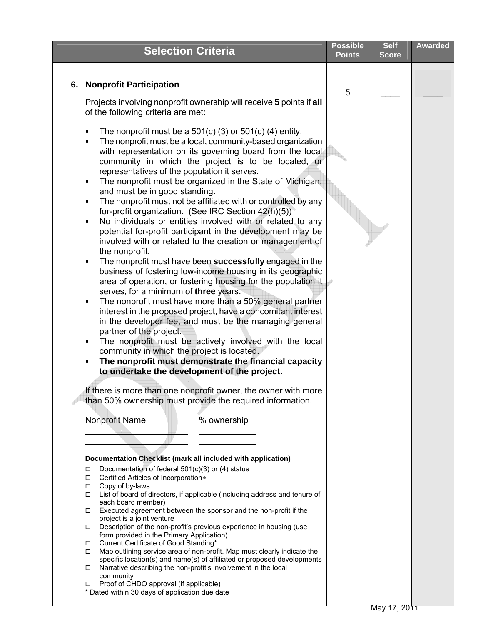<span id="page-15-0"></span>

|                                                                                                                                                                                                                                                                                                                                                                                                                                                                                                                                                                                                                                                                                                                                                                                                                                                                                                                                                                                                                                                                                                                                                                                                                                                                                                                                                                                                                                                                                            | <b>Points</b> | Self<br><b>Score</b> | <b>Awarded</b> |
|--------------------------------------------------------------------------------------------------------------------------------------------------------------------------------------------------------------------------------------------------------------------------------------------------------------------------------------------------------------------------------------------------------------------------------------------------------------------------------------------------------------------------------------------------------------------------------------------------------------------------------------------------------------------------------------------------------------------------------------------------------------------------------------------------------------------------------------------------------------------------------------------------------------------------------------------------------------------------------------------------------------------------------------------------------------------------------------------------------------------------------------------------------------------------------------------------------------------------------------------------------------------------------------------------------------------------------------------------------------------------------------------------------------------------------------------------------------------------------------------|---------------|----------------------|----------------|
| 6. Nonprofit Participation                                                                                                                                                                                                                                                                                                                                                                                                                                                                                                                                                                                                                                                                                                                                                                                                                                                                                                                                                                                                                                                                                                                                                                                                                                                                                                                                                                                                                                                                 | 5             |                      |                |
| Projects involving nonprofit ownership will receive 5 points if all<br>of the following criteria are met:<br>The nonprofit must be a $501(c)$ (3) or $501(c)$ (4) entity.<br>٠<br>The nonprofit must be a local, community-based organization<br>$\blacksquare$<br>with representation on its governing board from the local<br>community in which the project is to be located, or<br>representatives of the population it serves.<br>The nonprofit must be organized in the State of Michigan,<br>٠<br>and must be in good standing.<br>The nonprofit must not be affiliated with or controlled by any<br>٠<br>for-profit organization. (See IRC Section 42(h)(5))<br>No individuals or entities involved with or related to any<br>$\blacksquare$<br>potential for-profit participant in the development may be<br>involved with or related to the creation or management of<br>the nonprofit.<br>The nonprofit must have been successfully engaged in the<br>٠<br>business of fostering low-income housing in its geographic<br>area of operation, or fostering housing for the population it<br>serves, for a minimum of three years.<br>The nonprofit must have more than a 50% general partner<br>$\blacksquare$<br>interest in the proposed project, have a concomitant interest<br>in the developer fee, and must be the managing general<br>partner of the project.<br>The nonprofit must be actively involved with the local<br>٠<br>community in which the project is located. |               |                      |                |
| The nonprofit must demonstrate the financial capacity<br>٠<br>to undertake the development of the project.<br>If there is more than one nonprofit owner, the owner with more<br>than 50% ownership must provide the required information.<br>Nonprofit Name<br>% ownership<br>Documentation Checklist (mark all included with application)<br>Documentation of federal 501(c)(3) or (4) status<br>$\Box$<br>Certified Articles of Incorporation*<br>$\Box$<br>Copy of by-laws<br>$\Box$<br>List of board of directors, if applicable (including address and tenure of<br>$\Box$<br>each board member)<br>Executed agreement between the sponsor and the non-profit if the<br>$\Box$<br>project is a joint venture<br>Description of the non-profit's previous experience in housing (use<br>form provided in the Primary Application)<br>Current Certificate of Good Standing*<br>$\Box$<br>Map outlining service area of non-profit. Map must clearly indicate the<br>specific location(s) and name(s) of affiliated or proposed developments<br>Narrative describing the non-profit's involvement in the local<br>community<br>Proof of CHDO approval (if applicable)<br>* Dated within 30 days of application due date                                                                                                                                                                                                                                                                  |               |                      |                |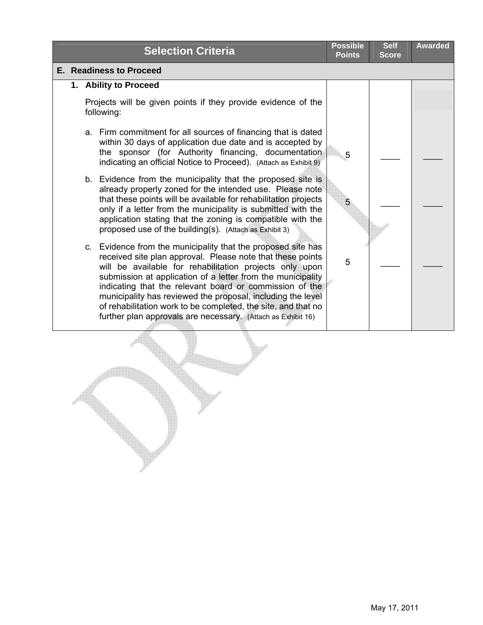|  |  | <b>Selection Criteria</b>                                                                                                                                                                                                                                                                                                                                                                                                                                                                                       | <b>Possible</b><br><b>Points</b> | <b>Self</b><br><b>Score</b> | <b>Awarded</b> |
|--|--|-----------------------------------------------------------------------------------------------------------------------------------------------------------------------------------------------------------------------------------------------------------------------------------------------------------------------------------------------------------------------------------------------------------------------------------------------------------------------------------------------------------------|----------------------------------|-----------------------------|----------------|
|  |  | E. Readiness to Proceed                                                                                                                                                                                                                                                                                                                                                                                                                                                                                         |                                  |                             |                |
|  |  | 1. Ability to Proceed                                                                                                                                                                                                                                                                                                                                                                                                                                                                                           |                                  |                             |                |
|  |  | Projects will be given points if they provide evidence of the<br>following:                                                                                                                                                                                                                                                                                                                                                                                                                                     |                                  |                             |                |
|  |  | a. Firm commitment for all sources of financing that is dated<br>within 30 days of application due date and is accepted by<br>the sponsor (for Authority financing, documentation<br>indicating an official Notice to Proceed). (Attach as Exhibit 9)                                                                                                                                                                                                                                                           | 5                                |                             |                |
|  |  | b. Evidence from the municipality that the proposed site is<br>already properly zoned for the intended use. Please note<br>that these points will be available for rehabilitation projects<br>only if a letter from the municipality is submitted with the<br>application stating that the zoning is compatible with the<br>proposed use of the building(s). (Attach as Exhibit 3)                                                                                                                              | 5                                |                             |                |
|  |  | c. Evidence from the municipality that the proposed site has<br>received site plan approval. Please note that these points<br>will be available for rehabilitation projects only upon<br>submission at application of a letter from the municipality<br>indicating that the relevant board or commission of the<br>municipality has reviewed the proposal, including the level<br>of rehabilitation work to be completed, the site, and that no<br>further plan approvals are necessary. (Attach as Exhibit 16) | 5                                |                             |                |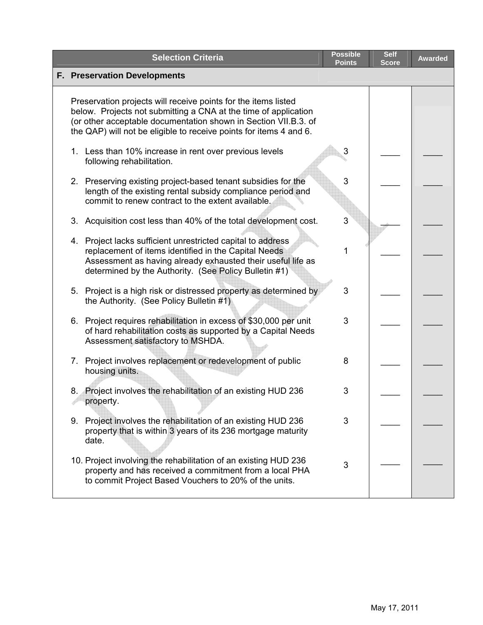|    | <b>Selection Criteria</b>                                                                                                                                                                                                                                                  | <b>Possible</b><br><b>Points</b> | <b>Self</b><br><b>Score</b> | <b>Awarded</b> |
|----|----------------------------------------------------------------------------------------------------------------------------------------------------------------------------------------------------------------------------------------------------------------------------|----------------------------------|-----------------------------|----------------|
|    | <b>F. Preservation Developments</b>                                                                                                                                                                                                                                        |                                  |                             |                |
|    | Preservation projects will receive points for the items listed<br>below. Projects not submitting a CNA at the time of application<br>(or other acceptable documentation shown in Section VII.B.3. of<br>the QAP) will not be eligible to receive points for items 4 and 6. |                                  |                             |                |
|    | 1. Less than 10% increase in rent over previous levels<br>following rehabilitation.                                                                                                                                                                                        | 3                                |                             |                |
|    | 2. Preserving existing project-based tenant subsidies for the<br>length of the existing rental subsidy compliance period and<br>commit to renew contract to the extent available.                                                                                          | 3                                |                             |                |
| 3. | Acquisition cost less than 40% of the total development cost.                                                                                                                                                                                                              | 3                                |                             |                |
|    | 4. Project lacks sufficient unrestricted capital to address<br>replacement of items identified in the Capital Needs<br>Assessment as having already exhausted their useful life as<br>determined by the Authority. (See Policy Bulletin #1)                                | 1                                |                             |                |
|    | 5. Project is a high risk or distressed property as determined by<br>the Authority. (See Policy Bulletin #1)                                                                                                                                                               | 3                                |                             |                |
| 6. | Project requires rehabilitation in excess of \$30,000 per unit<br>of hard rehabilitation costs as supported by a Capital Needs<br>Assessment satisfactory to MSHDA.                                                                                                        | 3                                |                             |                |
|    | 7. Project involves replacement or redevelopment of public<br>housing units.                                                                                                                                                                                               | 8                                |                             |                |
|    | 8. Project involves the rehabilitation of an existing HUD 236<br>property.                                                                                                                                                                                                 | 3                                |                             |                |
|    | 9. Project involves the rehabilitation of an existing HUD 236<br>property that is within 3 years of its 236 mortgage maturity<br>date.                                                                                                                                     | 3                                |                             |                |
|    | 10. Project involving the rehabilitation of an existing HUD 236<br>property and has received a commitment from a local PHA<br>to commit Project Based Vouchers to 20% of the units.                                                                                        | 3                                |                             |                |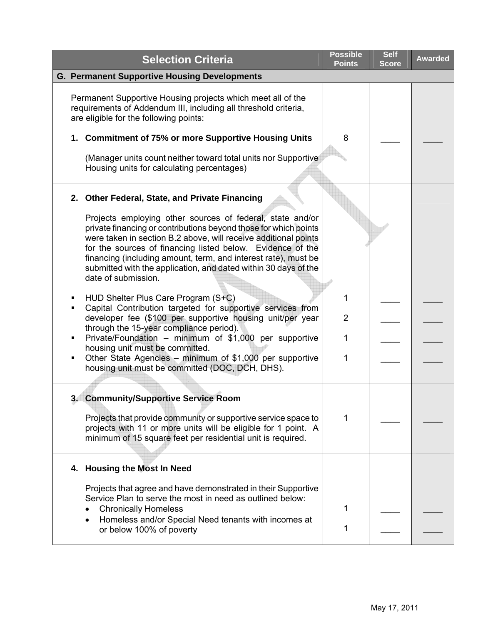| <b>Selection Criteria</b>                                                                                                                                                                                                                                                                                                                                                                                                                                                    | <b>Possible</b><br><b>Points</b> | <b>Self</b><br><b>Score</b> | <b>Awarded</b> |
|------------------------------------------------------------------------------------------------------------------------------------------------------------------------------------------------------------------------------------------------------------------------------------------------------------------------------------------------------------------------------------------------------------------------------------------------------------------------------|----------------------------------|-----------------------------|----------------|
| <b>G. Permanent Supportive Housing Developments</b>                                                                                                                                                                                                                                                                                                                                                                                                                          |                                  |                             |                |
| Permanent Supportive Housing projects which meet all of the<br>requirements of Addendum III, including all threshold criteria,<br>are eligible for the following points:<br>1. Commitment of 75% or more Supportive Housing Units<br>(Manager units count neither toward total units nor Supportive<br>Housing units for calculating percentages)                                                                                                                            | 8                                |                             |                |
| 2. Other Federal, State, and Private Financing<br>Projects employing other sources of federal, state and/or<br>private financing or contributions beyond those for which points<br>were taken in section B.2 above, will receive additional points<br>for the sources of financing listed below. Evidence of the<br>financing (including amount, term, and interest rate), must be<br>submitted with the application, and dated within 30 days of the<br>date of submission. |                                  |                             |                |
| HUD Shelter Plus Care Program (S+C)<br>٠<br>Capital Contribution targeted for supportive services from<br>٠<br>developer fee (\$100 per supportive housing unit/per year<br>through the 15-year compliance period).<br>Private/Foundation - minimum of \$1,000 per supportive<br>housing unit must be committed.<br>Other State Agencies - minimum of \$1,000 per supportive<br>٠<br>housing unit must be committed (DOC, DCH, DHS).                                         | 1<br>$\overline{2}$<br>1<br>1    |                             |                |
| 3. Community/Supportive Service Room<br>Projects that provide community or supportive service space to<br>projects with 11 or more units will be eligible for 1 point. A<br>minimum of 15 square feet per residential unit is required.                                                                                                                                                                                                                                      | 1                                |                             |                |
| 4. Housing the Most In Need<br>Projects that agree and have demonstrated in their Supportive<br>Service Plan to serve the most in need as outlined below:<br><b>Chronically Homeless</b><br>Homeless and/or Special Need tenants with incomes at<br>or below 100% of poverty                                                                                                                                                                                                 | 1<br>1                           |                             |                |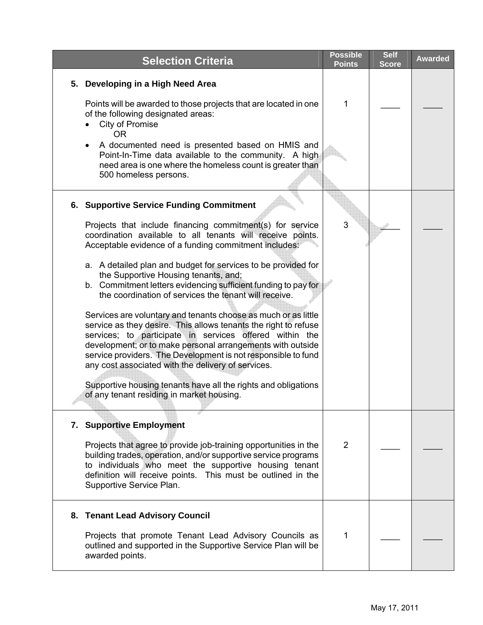| <b>Selection Criteria</b>                                                                                                                                                                                                                                                                                                                                                         | <b>Possible</b><br><b>Points</b> | <b>Self</b><br><b>Score</b> | <b>Awarded</b> |
|-----------------------------------------------------------------------------------------------------------------------------------------------------------------------------------------------------------------------------------------------------------------------------------------------------------------------------------------------------------------------------------|----------------------------------|-----------------------------|----------------|
| Developing in a High Need Area<br>5.<br>Points will be awarded to those projects that are located in one<br>of the following designated areas:                                                                                                                                                                                                                                    | 1                                |                             |                |
| City of Promise<br><b>OR</b><br>A documented need is presented based on HMIS and<br>Point-In-Time data available to the community. A high<br>need area is one where the homeless count is greater than<br>500 homeless persons.                                                                                                                                                   |                                  |                             |                |
| <b>6. Supportive Service Funding Commitment</b><br>Projects that include financing commitment(s) for service<br>coordination available to all tenants will receive points.<br>Acceptable evidence of a funding commitment includes:                                                                                                                                               | 3                                |                             |                |
| a. A detailed plan and budget for services to be provided for<br>the Supportive Housing tenants, and;<br>b. Commitment letters evidencing sufficient funding to pay for<br>the coordination of services the tenant will receive.                                                                                                                                                  |                                  |                             |                |
| Services are voluntary and tenants choose as much or as little<br>service as they desire. This allows tenants the right to refuse<br>services; to participate in services offered within the<br>development; or to make personal arrangements with outside<br>service providers. The Development is not responsible to fund<br>any cost associated with the delivery of services. |                                  |                             |                |
| Supportive housing tenants have all the rights and obligations<br>of any tenant residing in market housing.                                                                                                                                                                                                                                                                       |                                  |                             |                |
| 7. Supportive Employment                                                                                                                                                                                                                                                                                                                                                          |                                  |                             |                |
| Projects that agree to provide job-training opportunities in the<br>building trades, operation, and/or supportive service programs<br>to individuals who meet the supportive housing tenant<br>definition will receive points. This must be outlined in the<br>Supportive Service Plan.                                                                                           | 2                                |                             |                |
| 8. Tenant Lead Advisory Council                                                                                                                                                                                                                                                                                                                                                   |                                  |                             |                |
| Projects that promote Tenant Lead Advisory Councils as<br>outlined and supported in the Supportive Service Plan will be<br>awarded points.                                                                                                                                                                                                                                        | 1                                |                             |                |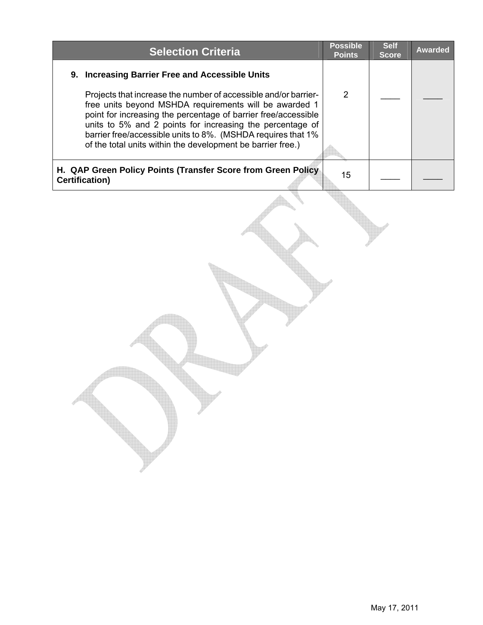| <b>Selection Criteria</b>                                                                                                                                                                                                                                                                                                                                                               | <b>Possible</b><br><b>Points</b> | <b>Self</b><br><b>Score</b> | <b>Awarded</b> |
|-----------------------------------------------------------------------------------------------------------------------------------------------------------------------------------------------------------------------------------------------------------------------------------------------------------------------------------------------------------------------------------------|----------------------------------|-----------------------------|----------------|
| 9. Increasing Barrier Free and Accessible Units                                                                                                                                                                                                                                                                                                                                         |                                  |                             |                |
| Projects that increase the number of accessible and/or barrier-<br>free units beyond MSHDA requirements will be awarded 1<br>point for increasing the percentage of barrier free/accessible<br>units to 5% and 2 points for increasing the percentage of<br>barrier free/accessible units to 8%. (MSHDA requires that 1%<br>of the total units within the development be barrier free.) | 2                                |                             |                |
| H. QAP Green Policy Points (Transfer Score from Green Policy<br><b>Certification)</b>                                                                                                                                                                                                                                                                                                   | 15                               |                             |                |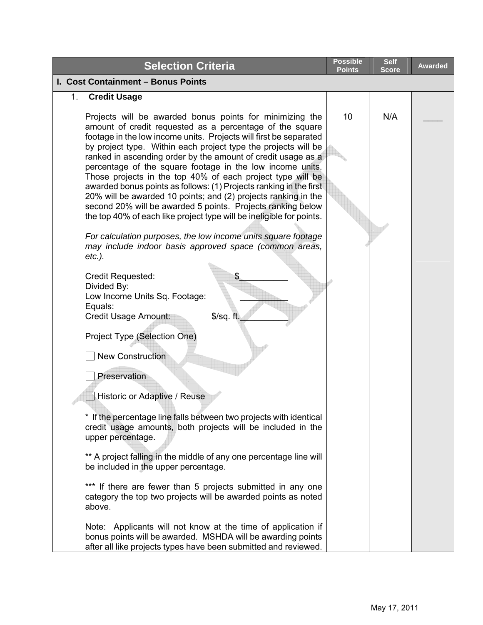| <b>Selection Criteria</b>                                                                                                                                                                                                                                                                                                                                                                                                                                                                                                                                                                                                                                                                                                             | <b>Possible</b><br><b>Points</b> | <b>Self</b><br><b>Score</b> | <b>Awarded</b> |
|---------------------------------------------------------------------------------------------------------------------------------------------------------------------------------------------------------------------------------------------------------------------------------------------------------------------------------------------------------------------------------------------------------------------------------------------------------------------------------------------------------------------------------------------------------------------------------------------------------------------------------------------------------------------------------------------------------------------------------------|----------------------------------|-----------------------------|----------------|
| I. Cost Containment - Bonus Points                                                                                                                                                                                                                                                                                                                                                                                                                                                                                                                                                                                                                                                                                                    |                                  |                             |                |
| 1. Credit Usage                                                                                                                                                                                                                                                                                                                                                                                                                                                                                                                                                                                                                                                                                                                       |                                  |                             |                |
| Projects will be awarded bonus points for minimizing the<br>amount of credit requested as a percentage of the square<br>footage in the low income units. Projects will first be separated<br>by project type. Within each project type the projects will be<br>ranked in ascending order by the amount of credit usage as a<br>percentage of the square footage in the low income units.<br>Those projects in the top 40% of each project type will be<br>awarded bonus points as follows: (1) Projects ranking in the first<br>20% will be awarded 10 points; and (2) projects ranking in the<br>second 20% will be awarded 5 points. Projects ranking below<br>the top 40% of each like project type will be ineligible for points. | 10                               | N/A                         |                |
| For calculation purposes, the low income units square footage<br>may include indoor basis approved space (common areas,<br>$etc.$ ).                                                                                                                                                                                                                                                                                                                                                                                                                                                                                                                                                                                                  |                                  |                             |                |
| Credit Requested:<br>S<br>Divided By:<br>Low Income Units Sq. Footage:<br>Equals:<br>Credit Usage Amount:<br>$$$ /sq. ft.                                                                                                                                                                                                                                                                                                                                                                                                                                                                                                                                                                                                             |                                  |                             |                |
| Project Type (Selection One)<br><b>New Construction</b>                                                                                                                                                                                                                                                                                                                                                                                                                                                                                                                                                                                                                                                                               |                                  |                             |                |
| Preservation                                                                                                                                                                                                                                                                                                                                                                                                                                                                                                                                                                                                                                                                                                                          |                                  |                             |                |
| Historic or Adaptive / Reuse                                                                                                                                                                                                                                                                                                                                                                                                                                                                                                                                                                                                                                                                                                          |                                  |                             |                |
| * If the percentage line falls between two projects with identical<br>credit usage amounts, both projects will be included in the<br>upper percentage.                                                                                                                                                                                                                                                                                                                                                                                                                                                                                                                                                                                |                                  |                             |                |
| ** A project falling in the middle of any one percentage line will<br>be included in the upper percentage.                                                                                                                                                                                                                                                                                                                                                                                                                                                                                                                                                                                                                            |                                  |                             |                |
| *** If there are fewer than 5 projects submitted in any one<br>category the top two projects will be awarded points as noted<br>above.                                                                                                                                                                                                                                                                                                                                                                                                                                                                                                                                                                                                |                                  |                             |                |
| Note: Applicants will not know at the time of application if<br>bonus points will be awarded. MSHDA will be awarding points<br>after all like projects types have been submitted and reviewed.                                                                                                                                                                                                                                                                                                                                                                                                                                                                                                                                        |                                  |                             |                |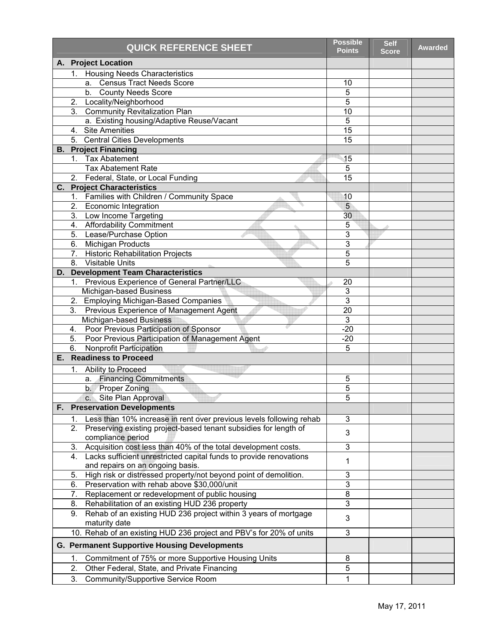|    |                | <b>QUICK REFERENCE SHEET</b>                                        | <b>Possible</b><br><b>Points</b> | <b>Self</b><br><b>Score</b> | <b>Awarded</b> |
|----|----------------|---------------------------------------------------------------------|----------------------------------|-----------------------------|----------------|
|    |                | A. Project Location                                                 |                                  |                             |                |
|    |                | 1. Housing Needs Characteristics                                    |                                  |                             |                |
|    |                | a. Census Tract Needs Score                                         | 10                               |                             |                |
|    |                | b. County Needs Score                                               | 5                                |                             |                |
|    | 2.             | Locality/Neighborhood                                               | 5                                |                             |                |
|    |                | 3. Community Revitalization Plan                                    | 10                               |                             |                |
|    |                | a. Existing housing/Adaptive Reuse/Vacant                           | 5                                |                             |                |
|    | 4.             | <b>Site Amenities</b>                                               | $\overline{15}$                  |                             |                |
|    |                | 5. Central Cities Developments                                      | 15                               |                             |                |
|    |                | <b>B. Project Financing</b>                                         |                                  |                             |                |
|    |                | 1. Tax Abatement                                                    | 15                               |                             |                |
|    |                | <b>Tax Abatement Rate</b>                                           | 5                                |                             |                |
|    |                | 2. Federal, State, or Local Funding                                 | $\overline{15}$                  |                             |                |
|    |                | <b>C.</b> Project Characteristics                                   |                                  |                             |                |
|    | 1 <sup>1</sup> | Families with Children / Community Space                            | 10                               |                             |                |
|    |                | 2. Economic Integration                                             | 5                                |                             |                |
|    |                | 3. Low Income Targeting                                             | 30                               |                             |                |
|    |                | 4. Affordability Commitment                                         | 5                                |                             |                |
|    |                | 5. Lease/Purchase Option                                            | 3                                |                             |                |
|    |                | 6. Michigan Products                                                | 3                                |                             |                |
|    |                | 7. Historic Rehabilitation Projects                                 | 5                                |                             |                |
|    | 8.             | <b>Visitable Units</b>                                              | 5                                |                             |                |
| D. |                | <b>Development Team Characteristics</b>                             |                                  |                             |                |
|    | 1.             | Previous Experience of General Partner/LLC                          | 20                               |                             |                |
|    |                | Michigan-based Business                                             | $\mathfrak{B}$                   |                             |                |
|    |                | 2. Employing Michigan-Based Companies                               | 3                                |                             |                |
|    | 3.             | Previous Experience of Management Agent                             | 20                               |                             |                |
|    |                | Michigan-based Business                                             | 3                                |                             |                |
|    | 4.             | Poor Previous Participation of Sponsor                              | $-20$                            |                             |                |
|    | 5.             | Poor Previous Participation of Management Agent                     | $-20$                            |                             |                |
|    | 6.             | <b>Nonprofit Participation</b>                                      | 5                                |                             |                |
|    |                | <b>E.</b> Readiness to Proceed                                      |                                  |                             |                |
|    |                | 1. Ability to Proceed                                               |                                  |                             |                |
|    |                | a. Financing Commitments                                            | 5                                |                             |                |
|    |                | b. Proper Zoning                                                    | 5                                |                             |                |
|    |                | c. Site Plan Approval                                               | 5                                |                             |                |
|    |                | <b>F. Preservation Developments</b>                                 |                                  |                             |                |
|    | 1.             | Less than 10% increase in rent over previous levels following rehab | $\mathbf{3}$                     |                             |                |
|    | 2.             | Preserving existing project-based tenant subsidies for length of    |                                  |                             |                |
|    |                | compliance period                                                   | 3                                |                             |                |
|    | 3.             | Acquisition cost less than 40% of the total development costs.      | 3                                |                             |                |
|    | 4.             | Lacks sufficient unrestricted capital funds to provide renovations  | 1                                |                             |                |
|    |                | and repairs on an ongoing basis.                                    |                                  |                             |                |
|    | 5.             | High risk or distressed property/not beyond point of demolition.    | 3                                |                             |                |
|    | 6.             | Preservation with rehab above \$30,000/unit                         | $\ensuremath{\mathsf{3}}$        |                             |                |
|    | 7.             | Replacement or redevelopment of public housing                      | 8                                |                             |                |
|    | 8.             | Rehabilitation of an existing HUD 236 property                      | 3                                |                             |                |
|    | 9.             | Rehab of an existing HUD 236 project within 3 years of mortgage     | 3                                |                             |                |
|    |                | maturity date                                                       |                                  |                             |                |
|    |                | 10. Rehab of an existing HUD 236 project and PBV's for 20% of units | 3                                |                             |                |
|    |                | <b>G. Permanent Supportive Housing Developments</b>                 |                                  |                             |                |
|    | 1.             | Commitment of 75% or more Supportive Housing Units                  | 8                                |                             |                |
|    | 2.             | Other Federal, State, and Private Financing                         | 5                                |                             |                |
|    | 3.             |                                                                     |                                  |                             |                |
|    |                | Community/Supportive Service Room                                   | 1                                |                             |                |